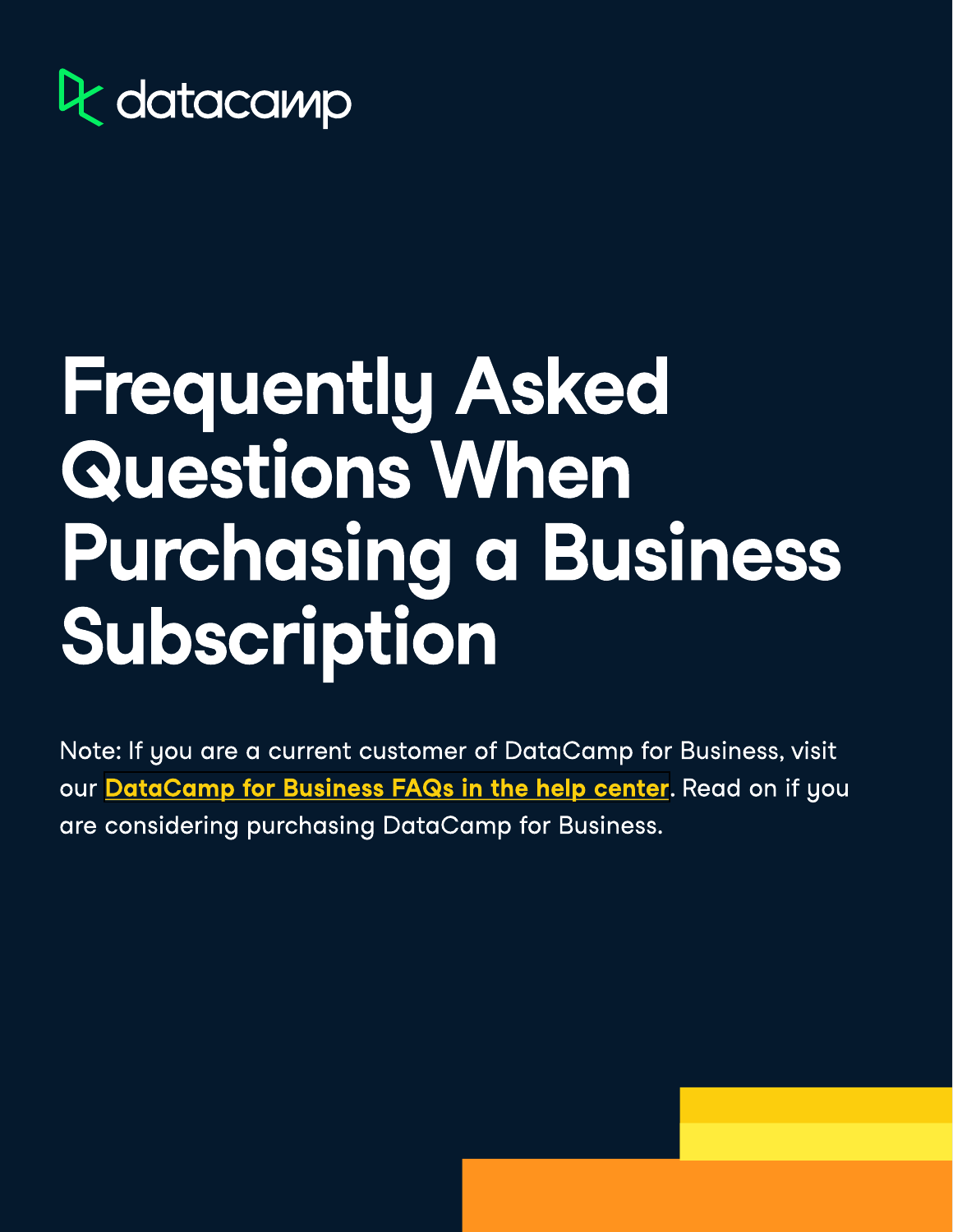

# Frequently Asked Questions When Purchasing a Business Subscription

Note: If you are a current customer of DataCamp for Business, visit our<mark>DataCamp for Business FAQs in the help center</mark>. Read on if you are considering purchasing DataCamp for Business.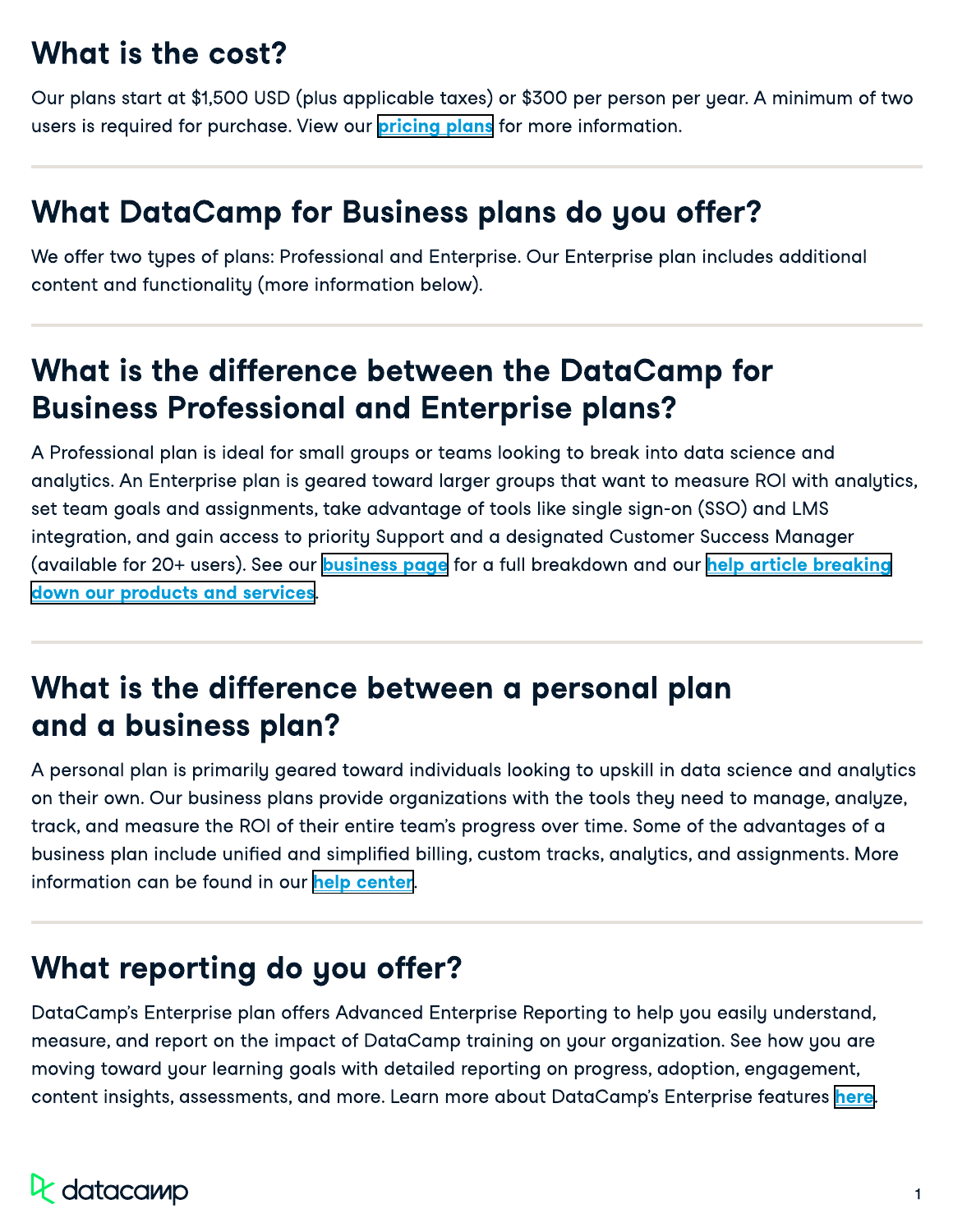### What is the cost?

Our plans start at \$1,500 USD (plus applicable taxes) or \$300 per person per year. A minimum of two users is required for purchase. View our **pricing plans** for more information.

#### What DataCamp for Business plans do you offer?

We offer two types of plans: Professional and Enterprise. Our Enterprise plan includes additional content and functionality (more information below).

#### What is the difference between the DataCamp for Business Professional and Enterprise plans?

A Professional plan is ideal for small groups or teams looking to break into data science and analytics. An Enterprise plan is geared toward larger groups that want to measure ROI with analytics, set team goals and assignments, take advantage of tools like single sign-on (SSO) and LMS integration, and gain access to priority Support and a designated Customer Success Manager (availablefor 20+ users). See our <mark>business page</mark> for a full breakdown and our <mark>help article breaking</mark> . [down our products and services](https://support.datacamp.com/hc/en-us/articles/360011266593-DataCamp-Subscription-Plans-An-Overview)

#### What is the difference between a personal plan and a business plan?

A personal plan is primarily geared toward individuals looking to upskill in data science and analytics on their own. Our business plans provide organizations with the tools they need to manage, analyze, track, and measure the ROI of their entire team's progress over time. Some of the advantages of a business plan include unified and simplified billing, custom tracks, analytics, and assignments. More information can be found in our help center.

#### What reporting do you offer?

DataCamp's Enterprise plan offers Advanced Enterprise Reporting to help you easily understand, measure, and report on the impact of DataCamp training on your organization. See how you are moving toward your learning goals with detailed reporting on progress, adoption, engagement, content insights, assessments, and more[.](https://www.datacamp.com/groups/business/reporting/) Learn more about DataCamp's Enterprise features here.

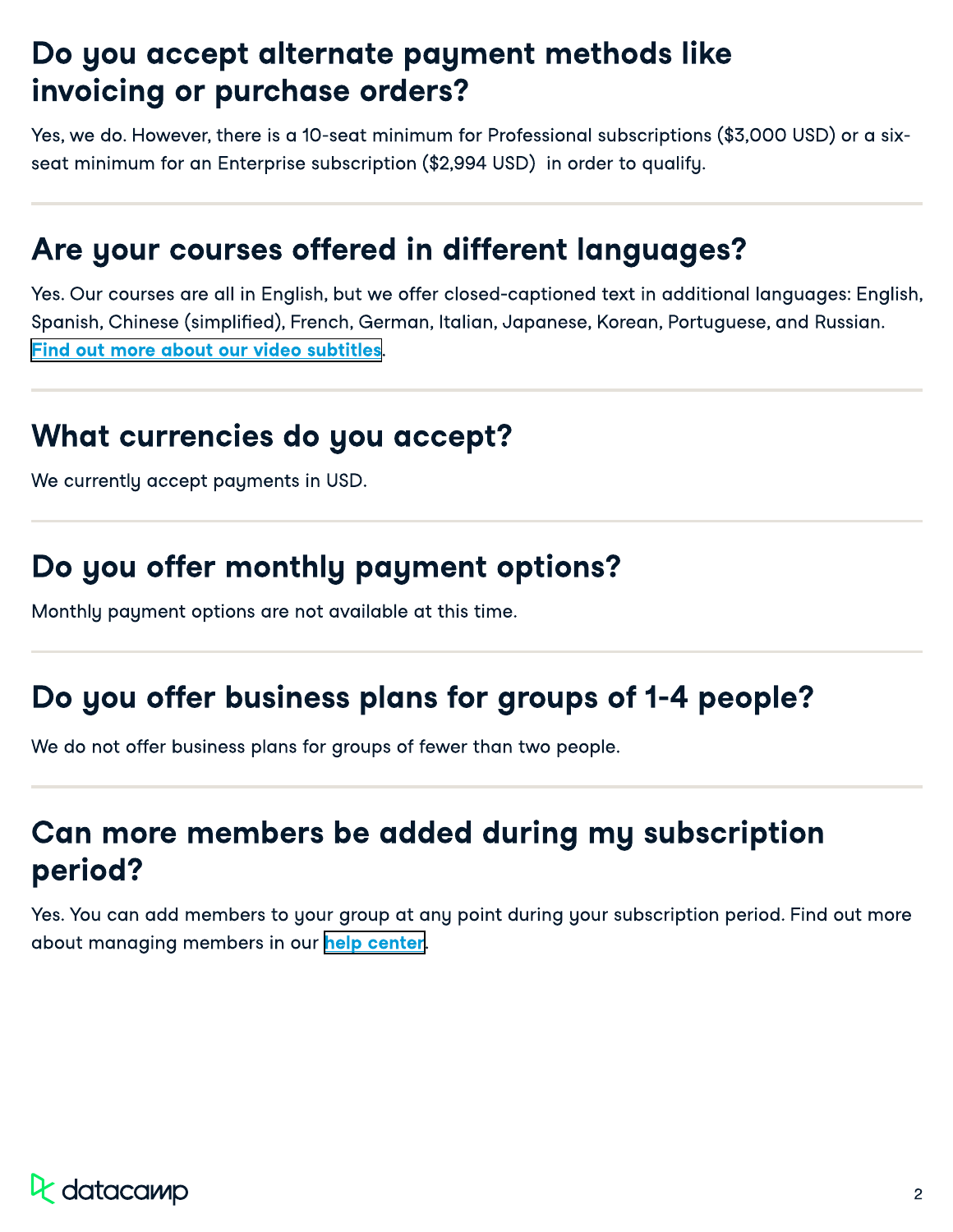#### Do you accept alternate payment methods like invoicing or purchase orders?

Yes, we do. However, there is a 10-seat minimum for Professional subscriptions (\$3,000 USD) or a sixseat minimum for an Enterprise subscription (\$2,994 USD) in order to qualify.

#### Are your courses offered in different languages?

Yes. Our courses are all in English, but we offer closed-captioned text in additional languages: English, Spanish, Chinese (simplified), French, German, Italian, Japanese, Korean, Portuguese, and Russian. [Find out more about our video subtitles](https://support.datacamp.com/hc/en-us/articles/360007678574).

#### What currencies do you accept?

We currently accept payments in USD.

#### Do you offer monthly payment options?

Monthly payment options are not available at this time.

### Do you offer business plans for groups of 1-4 people?

We do not offer business plans for groups of fewer than two people.

#### Can more members be added during my subscription period?

Yes. You can add members to your group at any point during your subscription period. Find out more about managing members in our help center.